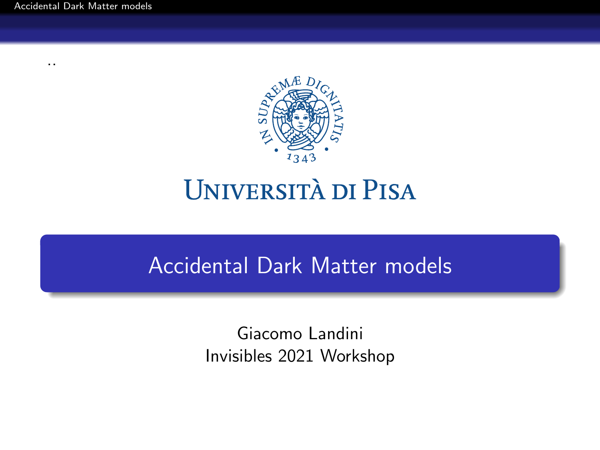<span id="page-0-0"></span>[Accidental Dark Matter models](#page-5-0)

..



# **UNIVERSITÀ DI PISA**

### Accidental Dark Matter models

Giacomo Landini Invisibles 2021 Workshop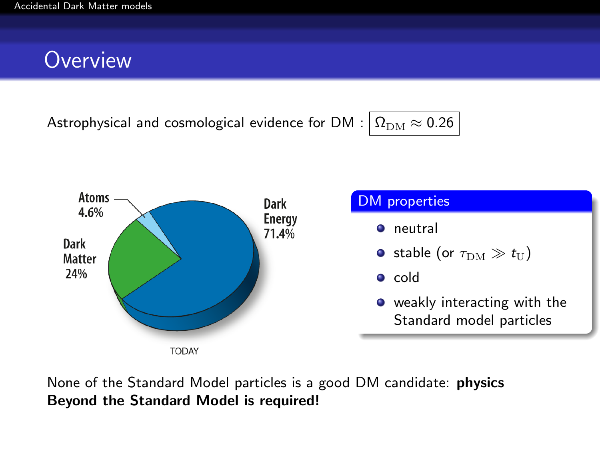### **Overview**

Astrophysical and cosmological evidence for DM :  $\Omega_{DM} \approx 0.26$ 



### DM properties **O** neutral **•** stable (or  $\tau_{DM} \gg t_{\text{U}}$ )  $\bullet$  cold o weakly interacting with the Standard model particles

None of the Standard Model particles is a good DM candidate: physics Beyond the Standard Model is required!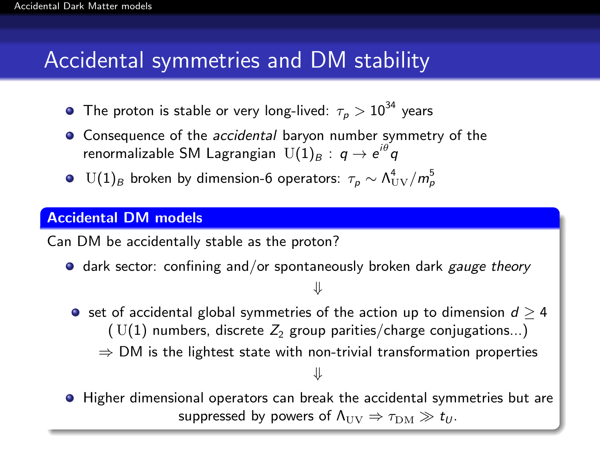### Accidental symmetries and DM stability

- The proton is stable or very long-lived:  $\tau_{\rho} > 10^{34}$  years
- Consequence of the *accidental* baryon number symmetry of the renormalizable SM Lagrangian  $\,\mathrm{U(1)}_B:\,q\to e^{i\theta}q$
- $\mathop{\rm {}U}(1)_B$  broken by dimension-6 operators:  $\tau_{\rho}\sim \Lambda_{\rm UV}^4/m_{\rho}^5$

#### Accidental DM models

Can DM be accidentally stable as the proton?

 $\bullet$  dark sector: confining and/or spontaneously broken dark gauge theory

#### ⇓

- set of accidental global symmetries of the action up to dimension  $d \geq 4$ ( $U(1)$  numbers, discrete  $Z_2$  group parities/charge conjugations...)
	- $\Rightarrow$  DM is the lightest state with non-trivial transformation properties

#### ⇓

**• Higher dimensional operators can break the accidental symmetries but are** suppressed by powers of  $\Lambda_{\text{UV}} \Rightarrow \tau_{\text{DM}} \gg t_{\text{U}}$ .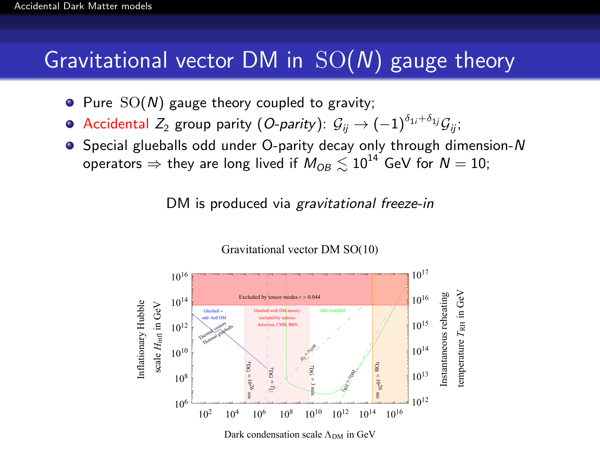### Gravitational vector DM in  $SO(N)$  gauge theory

- $\bullet$  Pure  $SO(N)$  gauge theory coupled to gravity;
- $\bullet$  Accidental Z<sub>2</sub> group parity (O-parity):  $\mathcal{G}_{ii} \rightarrow (-1)^{\delta_{1i} + \delta_{1j}} \mathcal{G}_{ii}$ ;
- $\bullet$  Special glueballs odd under O-parity decay only through dimension-N operators  $\Rightarrow$  they are long lived if  $M_{OR} \leq 10^{14}$  GeV for  $N = 10$ ;

DM is produced via gravitational freeze-in



Gravitational vector DM SO(10)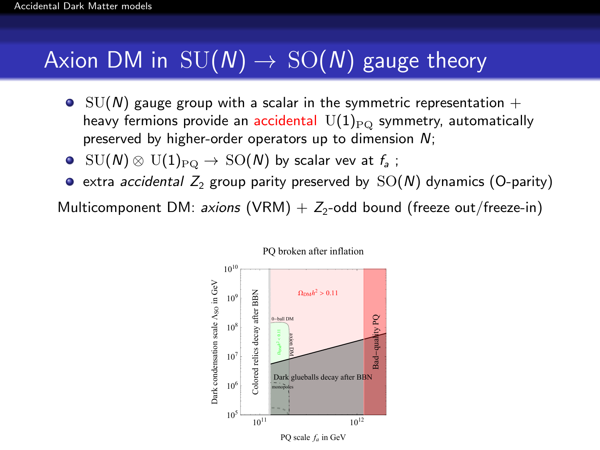## Axion DM in  $SU(N) \rightarrow SO(N)$  gauge theory

- $\bullet$  SU(N) gauge group with a scalar in the symmetric representation  $+$ heavy fermions provide an accidental  $\mathrm{U}(1)_{\text{PQ}}$  symmetry, automatically preserved by higher-order operators up to dimension  $N$ ;
- $\mathrm{SU}(N)\otimes\,\mathrm{U}(1)_{\mathrm{PQ}}\to\,\mathrm{SO}(N)$  by scalar vev at  $f_\mathsf{a}$  ;
- $\bullet$  extra accidental  $Z_2$  group parity preserved by  $SO(N)$  dynamics (O-parity)

Multicomponent DM: *axions*  $(\mathsf{VRM}) + Z_2$ -odd bound (freeze out/freeze-in)